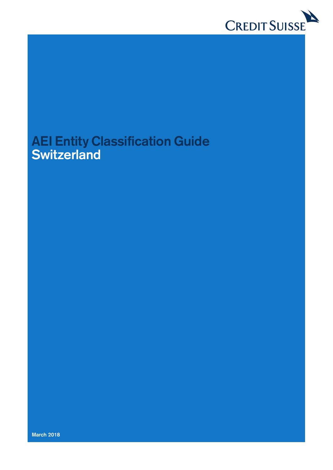

# **AEI Entity Classification Guide Switzerland**

**March 2018**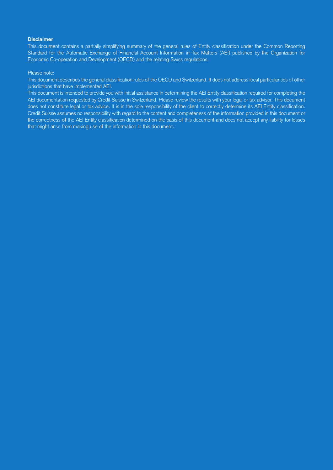#### **Disclaimer**

This document contains a partially simplifying summary of the general rules of Entity classification under the Common Reporting Standard for the Automatic Exchange of Financial Account Information in Tax Matters (AEI) published by the Organization for Economic Co-operation and Development (OECD) and the relating Swiss regulations.

#### Please note:

This document describes the general classification rules of the OECD and Switzerland. It does not address local particularities of other jurisdictions that have implemented AEI.

This document is intended to provide you with initial assistance in determining the AEI Entity classification required for completing the AEI documentation requested by Credit Suisse in Switzerland. Please review the results with your legal or tax advisor. This document does not constitute legal or tax advice. It is in the sole responsibility of the client to correctly determine its AEI Entity classification. Credit Suisse assumes no responsibility with regard to the content and completeness of the information provided in this document or the correctness of the AEI Entity classification determined on the basis of this document and does not accept any liability for losses that might arise from making use of the information in this document.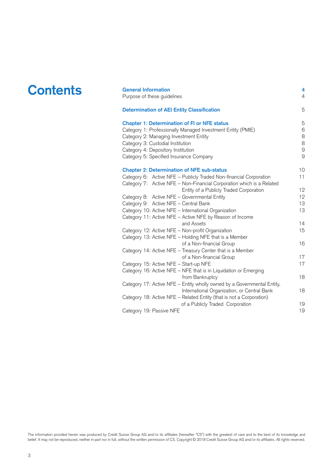| <b>Contents</b> | <b>General Information</b><br>Purpose of these guidelines                                                                                                                                                                                                                          | 4<br>4                                             |
|-----------------|------------------------------------------------------------------------------------------------------------------------------------------------------------------------------------------------------------------------------------------------------------------------------------|----------------------------------------------------|
|                 | <b>Determination of AEI Entity Classification</b>                                                                                                                                                                                                                                  | 5                                                  |
|                 | <b>Chapter 1: Determination of FI or NFE status</b><br>Category 1: Professionally Managed Investment Entity (PMIE)<br>Category 2: Managing Investment Entity<br>Category 3: Custodial Institution<br>Category 4: Depository Institution<br>Category 5: Specified Insurance Company | 5<br>6<br>8<br>$\,8\,$<br>$\mathsf g$<br>9         |
|                 | <b>Chapter 2: Determination of NFE sub-status</b><br>Category 6: Active NFE - Publicly Traded Non-financial Corporation<br>Category 7: Active NFE - Non-Financial Corporation which is a Related                                                                                   | 10<br>11                                           |
|                 | Entity of a Publicly Traded Corporation<br>Category 8: Active NFE - Governmental Entity<br>Category 9: Active NFE - Central Bank<br>Category 10: Active NFE - International Organization<br>Category 11: Active NFE - Active NFE by Reason of Income                               | $12 \overline{ }$<br>$12 \overline{ }$<br>13<br>13 |
|                 | and Assets<br>Category 12: Active NFE - Non-profit Organization<br>Category 13: Active NFE - Holding NFE that is a Member                                                                                                                                                          | 14<br>15                                           |
|                 | of a Non-financial Group<br>Category 14: Active NFE - Treasury Center that is a Member                                                                                                                                                                                             | 16                                                 |
|                 | of a Non-financial Group<br>Category 15: Active NFE - Start-up NFE                                                                                                                                                                                                                 | 17<br>17                                           |
|                 | Category 16: Active NFE - NFE that is in Liquidation or Emerging<br>from Bankruptcy<br>Category 17: Active NFE - Entity wholly owned by a Governmental Entity,                                                                                                                     | 18                                                 |
|                 | International Organization, or Central Bank<br>Category 18: Active NFE - Related Entity (that is not a Corporation)                                                                                                                                                                | 18                                                 |
|                 | of a Publicly Traded Corporation<br>Category 19: Passive NFE                                                                                                                                                                                                                       | 19<br>19                                           |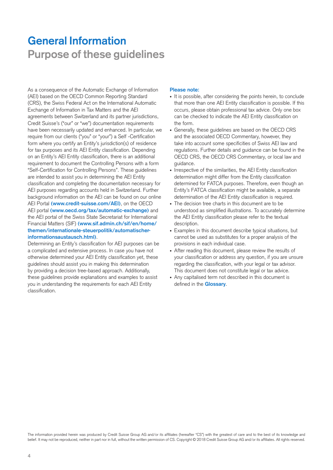# <span id="page-3-0"></span>**General Information Purpose of these guidelines**

As a consequence of the Automatic Exchange of Information (AEI) based on the OECD Common Reporting Standard (CRS), the Swiss Federal Act on the International Automatic Exchange of Information in Tax Matters and the AEI agreements between Switzerland and its partner jurisdictions, Credit Suisse's ("our" or "we") documentation requirements have been necessarily updated and enhanced. In particular, we require from our clients ("you" or "your") a Self -Certification form where you certify an Entity's jurisdiction(s) of residence for tax purposes and its AEI Entity classification. Depending on an Entity's AEI Entity classification, there is an additional requirement to document the Controlling Persons with a form "Self-Certification for Controlling Persons". These guidelines are intended to assist you in determining the AEI Entity classification and completing the documentation necessary for AEI purposes regarding accounts held in Switzerland. Further background information on the AEI can be found on our online AEI Portal **(www.credit-suisse.com/AEI)**, on the OECD AEI portal **(www.oecd.org/tax/automatic-exchange)** and the AEI portal of the Swiss State Secretariat for International Financial Matters (SIF) **(www.sif.admin.ch/sif/en/home/ themen/internationale-steuerpolitik/automatischerinformationsaustausch.html)**.

Determining an Entity's classification for AEI purposes can be a complicated and extensive process. In case you have not otherwise determined your AEI Entity classification yet, these guidelines should assist you in making this determination by providing a decision tree-based approach. Additionally, these guidelines provide explanations and examples to assist you in understanding the requirements for each AEI Entity classification.

#### **Please note:**

- It is possible, after considering the points herein, to conclude that more than one AEI Entity classification is possible. If this occurs, please obtain professional tax advice. Only one box can be checked to indicate the AEI Entity classification on the form.
- Generally, these guidelines are based on the OECD CRS and the associated OECD Commentary, however, they take into account some specificities of Swiss AEI law and regulations. Further details and guidance can be found in the OECD CRS, the OECD CRS Commentary, or local law and guidance.
- Irrespective of the similarities, the AEI Entity classification determination might differ from the Entity classification determined for FATCA purposes. Therefore, even though an Entity's FATCA classification might be available, a separate determination of the AEI Entity classification is required.
- The decision tree charts in this document are to be understood as simplified illustrations. To accurately determine the AEI Entity classification please refer to the textual description.
- Examples in this document describe typical situations, but cannot be used as substitutes for a proper analysis of the provisions in each individual case.
- After reading this document, please review the results of your classification or address any question, if you are unsure regarding the classification, with your legal or tax advisor. This document does not constitute legal or tax advice.
- Any capitalised term not described in this document is defined in the **[Glossary](https://www.credit-suisse.com/media/assets/corporate/docs/about-us/responsibility/banking/aic/glossary-en.pdf)**.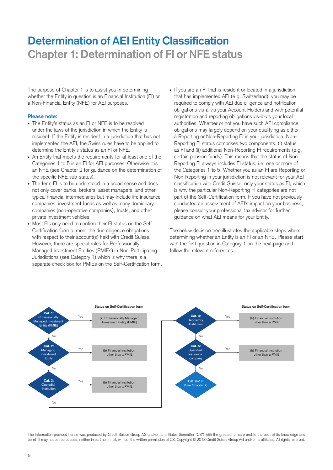# **Determination of AEI Entity Classification Chapter 1: Determination of FI or NFE status**

The purpose of Chapter 1 is to assist you in determining whether the Entity in question is an Financial Institution (FI) or a Non-Financial Entity (NFE) for AEI purposes.

#### **Please note:**

- The Entity's status as an FI or NFE is to be resolved under the laws of the jurisdiction in which the Entity is resident. If the Entity is resident in a jurisdiction that has not implemented the AEI, the Swiss rules have to be applied to determine the Entity's status as an FI or NFE.
- An Entity that meets the requirements for at least one of the Categories 1 to 5 is an FI for AEI purposes. Otherwise it is an NFE (see Chapter 2 for guidance on the determination of the specific NFE sub-status).
- The term FI is to be understood in a broad sense and does not only cover banks, brokers, asset managers, and other typical financial intermediaries but may include life insurance companies, investment funds as well as many domiciliary companies (non-operative companies), trusts, and other private investment vehicles.
- Most FIs only need to confirm their FI status on the Self-Certification form to meet the due diligence obligations with respect to their account(s) held with Credit Suisse. However, there are special rules for Professionally Managed Investment Entities (PMIEs) in Non-Participating Jurisdictions (see Category 1) which is why there is a separate check box for PMIEs on the Self-Certification form.
- If you are an FI that is resident or located in a jurisdiction that has implemented AEI (e.g. Switzerland), you may be required to comply with AEI due diligence and notification obligations vis-à-vis your Account Holders and with potential registration and reporting obligations vis-à-vis your local authorities. Whether or not you have such AEI compliance obligations may largely depend on your qualifying as either a Reporting or Non-Reporting FI in your jurisdiction. Non-Reporting FI status comprises two components: (i) status as FI and (ii) additional Non-Reporting FI requirements (e.g. certain pension funds). This means that the status of Non-Reporting FI always includes FI status, i.e. one or more of the Categories 1 to 5. Whether you as an FI are Reporting or Non-Reporting in your jurisdiction is not relevant for your AEI classification with Credit Suisse, only your status as FI, which is why the particular Non-Reporting FI categories are not part of the Self-Certification form. If you have not previously conducted an assessment of AEI's impact on your business, please consult your professional tax advisor for further guidance on what AEI means for your Entity.

The below decision tree illustrates the applicable steps when determining whether an Entity is an FI or an NFE. Please start with the first question in Category 1 on the next page and follow the relevant references.

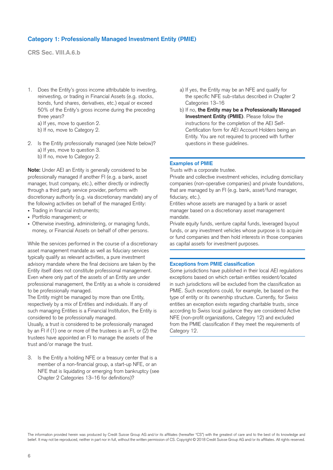# **Category 1: Professionally Managed Investment Entity (PMIE)**

**CRS Sec. VIII.A.6.b**

1. Does the Entity's gross income attributable to investing, reinvesting, or trading in Financial Assets (e.g. stocks, bonds, fund shares, derivatives, etc.) equal or exceed 50% of the Entity's gross income during the preceding three years?

a) If yes, move to question 2.

b) If no, move to Category 2.

2. Is the Entity professionally managed (see Note below)? a) If yes, move to question 3. b) If no, move to Category 2.

**Note:** Under AEI an Entity is generally considered to be professionally managed if another FI (e.g. a bank, asset manager, trust company, etc.), either directly or indirectly through a third party service provider, performs with discretionary authority (e.g. via discretionary mandate) any of the following activities on behalf of the managed Entity:

- Trading in financial instruments;
- Portfolio management; or
- Otherwise investing, administering, or managing funds, money, or Financial Assets on behalf of other persons.

While the services performed in the course of a discretionary asset management mandate as well as fiduciary services typically qualify as relevant activities, a pure investment advisory mandate where the final decisions are taken by the Entity itself does not constitute professional management. Even where only part of the assets of an Entity are under professional management, the Entity as a whole is considered to be professionally managed.

The Entity might be managed by more than one Entity, respectively by a mix of Entities and individuals. If any of such managing Entities is a Financial Institution, the Entity is considered to be professionally managed.

Usually, a trust is considered to be professionally managed by an FI if (1) one or more of the trustees is an FI, or (2) the trustees have appointed an FI to manage the assets of the trust and/or manage the trust.

3. Is the Entity a holding NFE or a treasury center that is a member of a non-financial group, a start-up NFE, or an NFE that is liquidating or emerging from bankruptcy (see Chapter 2 Categories 13–16 for definitions)?

- a) If yes, the Entity may be an NFE and qualify for the specific NFE sub-status described in Chapter 2 Categories 13–16
- b) If no, **the Entity may be a Professionally Managed Investment Entity (PMIE)**. Please follow the instructions for the completion of the AEI Self-Certification form for AEI Account Holders being an Entity. You are not required to proceed with further questions in these guidelines.

#### **Examples of PMIE**

Trusts with a corporate trustee.

Private and collective investment vehicles, including domiciliary companies (non-operative companies) and private foundations, that are managed by an FI (e.g. bank, asset/fund manager, fiduciary, etc.).

Entities whose assets are managed by a bank or asset manager based on a discretionary asset management mandate.

Private equity funds, venture capital funds, leveraged buyout funds, or any investment vehicles whose purpose is to acquire or fund companies and then hold interests in those companies as capital assets for investment purposes.

#### **Exceptions from PMIE classification**

Some jurisdictions have published in their local AEI regulations exceptions based on which certain entities resident/located in such jurisdictions will be excluded from the classification as PMIE. Such exceptions could, for example, be based on the type of entity or its ownership structure. Currently, for Swiss entities an exception exists regarding charitable trusts, since according to Swiss local guidance they are considered Active NFE (non-profit organizations, Category 12) and excluded from the PMIE classification if they meet the requirements of Category 12.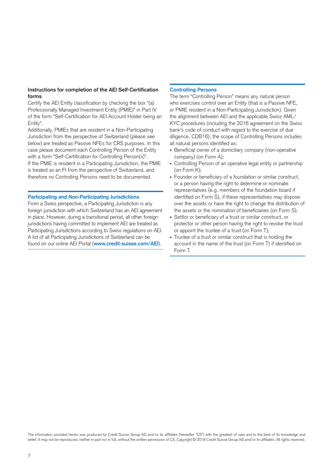### **Instructions for completion of the AEI Self-Certification forms**

Certify the AEI Entity classification by checking the box "(a) Professionally Managed Investment Entity (PMIE)" in Part IV of the form "Self-Certification for AEI Account Holder being an Entity".

Additionally, PMIEs that are resident in a Non-Participating Jurisdiction from the perspective of Switzerland (please see below) are treated as Passive NFEs for CRS purposes. In this case please document each Controlling Person of the Entity with a form "Self-Certification for Controlling Person(s)". If the PMIE is resident in a Participating Jurisdiction, the PMIE is treated as an FI from the perspective of Switzerland, and therefore no Controlling Persons need to be documented.

#### **Participating and Non-Participating Jurisdictions**

From a Swiss perspective, a Participating Jurisdiction is any foreign jurisdiction with which Switzerland has an AEI agreement in place. However, during a transitional period, all other foreign jurisdictions having committed to implement AEI are treated as Participating Jurisdictions according to Swiss regulations on AEI. A list of all Participating Jurisdictions of Switzerland can be found on our online AEI Portal (**[www.credit-suisse.com/AEI](http://www.credit-suisse.com/AEI)**).

#### **Controlling Persons**

The term "Controlling Person" means any natural person who exercises control over an Entity (that is a Passive NFE, or PMIE resident in a Non-Participating Jurisdiction). Given the alignment between AEI and the applicable Swiss AML/ KYC procedures (including the 2016 agreement on the Swiss bank's code of conduct with regard to the exercise of due diligence, CDB16), the scope of Controlling Persons includes all natural persons identified as:

- Beneficial owner of a domiciliary company (non-operative company) (on Form A);
- Controlling Person of an operative legal entity or partnership (on Form K);
- Founder or beneficiary of a foundation or similar construct, or a person having the right to determine or nominate representatives (e.g. members of the foundation board if identified on Form S), if these representatives may dispose over the assets or have the right to change the distribution of the assets or the nomination of beneficiaries (on Form S);
- Settlor or beneficiary of a trust or similar construct, or protector or other person having the right to revoke the trust or appoint the trustee of a trust (on Form T);
- Trustee of a trust or similar construct that is holding the account in the name of the trust (on Form T) if identified on Form T.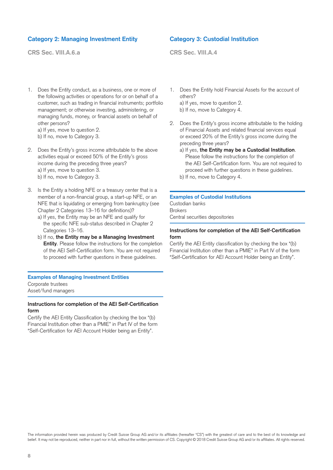# **Category 2: Managing Investment Entity**

**CRS Sec. VIII.A.6.a**

1. Does the Entity conduct, as a business, one or more of the following activities or operations for or on behalf of a customer, such as trading in financial instruments; portfolio management; or otherwise investing, administering, or managing funds, money, or financial assets on behalf of other persons? a) If yes, move to question 2.

b) If no, move to Category 3.

- 2. Does the Entity's gross income attributable to the above activities equal or exceed 50% of the Entity's gross income during the preceding three years? a) If yes, move to question 3. b) If no, move to Category 3.
- 3. Is the Entity a holding NFE or a treasury center that is a member of a non-financial group, a start-up NFE, or an NFE that is liquidating or emerging from bankruptcy (see Chapter 2 Categories 13–16 for definitions)?
	- a) If yes, the Entity may be an NFE and qualify for the specific NFE sub-status described in Chapter 2 Categories 13–16.
	- b) If no, **the Entity may be a Managing Investment Entity**. Please follow the instructions for the completion of the AEI Self-Certification form. You are not required to proceed with further questions in these guidelines.

#### **Examples of Managing Investment Entities**  Corporate trustees Asset/fund managers

#### **Instructions for completion of the AEI Self-Certification form**

Certify the AEI Entity Classification by checking the box "(b) Financial Institution other than a PMIE" in Part IV of the form "Self-Certification for AEI Account Holder being an Entity".

# **Category 3: Custodial Institution**

**CRS Sec. VIII.A.4**

- 1. Does the Entity hold Financial Assets for the account of others? a) If yes, move to question 2.
	- b) If no, move to Category 4.
- 2. Does the Entity's gross income attributable to the holding of Financial Assets and related financial services equal or exceed 20% of the Entity's gross income during the preceding three years?
	- a) If yes, **the Entity may be a Custodial Institution**. Please follow the instructions for the completion of the AEI Self-Certification form. You are not required to proceed with further questions in these guidelines.
	- b) If no, move to Category 4.

### **Examples of Custodial Institutions**

Custodian banks Brokers Central securities depositories

### **Instructions for completion of the AEI Self-Certification form**

Certify the AEI Entity classification by checking the box "(b) Financial Institution other than a PMIE" in Part IV of the form "Self-Certification for AEI Account Holder being an Entity".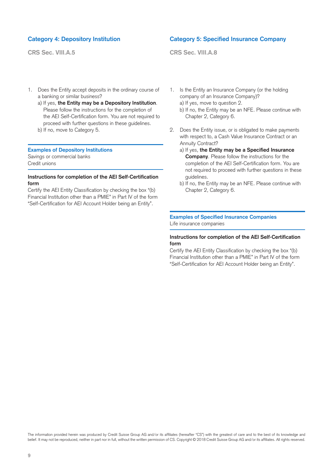# **Category 4: Depository Institution**

**CRS Sec. VIII.A.5**

1. Does the Entity accept deposits in the ordinary course of a banking or similar business?

a) If yes, **the Entity may be a Depository Institution**. Please follow the instructions for the completion of the AEI Self-Certification form. You are not required to proceed with further questions in these guidelines.

b) If no, move to Category 5.

### **Examples of Depository Institutions**

Savings or commercial banks Credit unions

### **Instructions for completion of the AEI Self-Certification form**

Certify the AEI Entity Classification by checking the box "(b) Financial Institution other than a PMIE" in Part IV of the form "Self-Certification for AEI Account Holder being an Entity".

## **Category 5: Specified Insurance Company**

**CRS Sec. VIII.A.8**

- 1. Is the Entity an Insurance Company (or the holding company of an Insurance Company)? a) If yes, move to question 2.
	- b) If no, the Entity may be an NFE. Please continue with Chapter 2, Category 6.
- 2. Does the Entity issue, or is obligated to make payments with respect to, a Cash Value Insurance Contract or an Annuity Contract?
	- a) If yes, **the Entity may be a Specified Insurance Company**. Please follow the instructions for the completion of the AEI Self-Certification form. You are not required to proceed with further questions in these guidelines.
	- b) If no, the Entity may be an NFE. Please continue with Chapter 2, Category 6.

#### **Examples of Specified Insurance Companies** Life insurance companies

#### **Instructions for completion of the AEI Self-Certification form**

Certify the AEI Entity Classification by checking the box "(b) Financial Institution other than a PMIE" in Part IV of the form "Self-Certification for AEI Account Holder being an Entity".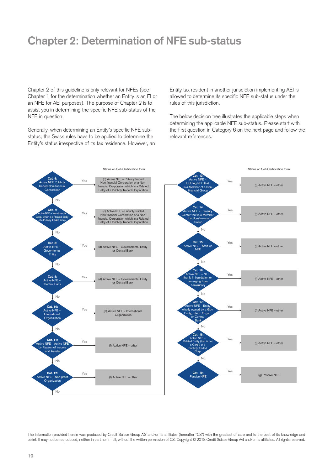# **Chapter 2: Determination of NFE sub-status**

Chapter 2 of this guideline is only relevant for NFEs (see Chapter 1 for the determination whether an Entity is an FI or an NFE for AEI purposes). The purpose of Chapter 2 is to assist you in determining the specific NFE sub-status of the NFE in question.

Generally, when determining an Entity's specific NFE substatus, the Swiss rules have to be applied to determine the Entity's status irrespective of its tax residence. However, an Entity tax resident in another jurisdiction implementing AEI is allowed to determine its specific NFE sub-status under the rules of this jurisdiction.

The below decision tree illustrates the applicable steps when determining the applicable NFE sub-status. Please start with the first question in Category 6 on the next page and follow the relevant references.

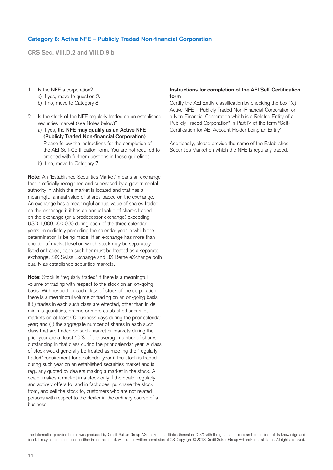# **Category 6: Active NFE – Publicly Traded Non-financial Corporation**

**CRS Sec. VIII.D.2 and VIII.D.9.b**

- 1. Is the NFE a corporation? a) If yes, move to question 2. b) If no, move to Category 8.
- 2. Is the stock of the NFE regularly traded on an established securities market (see Notes below)?
	- a) If yes, the **NFE may qualify as an Active NFE (Publicly Traded Non-financial Corporation)**. Please follow the instructions for the completion of the AEI Self-Certification form. You are not required to proceed with further questions in these guidelines.
	- b) If no, move to Category 7.

**Note:** An "Established Securities Market" means an exchange that is officially recognized and supervised by a governmental authority in which the market is located and that has a meaningful annual value of shares traded on the exchange. An exchange has a meaningful annual value of shares traded on the exchange if it has an annual value of shares traded on the exchange (or a predecessor exchange) exceeding USD 1,000,000,000 during each of the three calendar years immediately preceding the calendar year in which the determination is being made. If an exchange has more than one tier of market level on which stock may be separately listed or traded, each such tier must be treated as a separate exchange. SIX Swiss Exchange and BX Berne eXchange both qualify as established securities markets.

**Note:** Stock is "regularly traded" if there is a meaningful volume of trading with respect to the stock on an on-going basis. With respect to each class of stock of the corporation, there is a meaningful volume of trading on an on-going basis if (i) trades in each such class are effected, other than in de minimis quantities, on one or more established securities markets on at least 60 business days during the prior calendar year; and (ii) the aggregate number of shares in each such class that are traded on such market or markets during the prior year are at least 10% of the average number of shares outstanding in that class during the prior calendar year. A class of stock would generally be treated as meeting the "regularly traded" requirement for a calendar year if the stock is traded during such year on an established securities market and is regularly quoted by dealers making a market in the stock. A dealer makes a market in a stock only if the dealer regularly and actively offers to, and in fact does, purchase the stock from, and sell the stock to, customers who are not related persons with respect to the dealer in the ordinary course of a business.

### **Instructions for completion of the AEI Self-Certification form**

Certify the AEI Entity classification by checking the box "(c) Active NFE – Publicly Traded Non-Financial Corporation or a Non-Financial Corporation which is a Related Entity of a Publicly Traded Corporation" in Part IV of the form "Self-Certification for AEI Account Holder being an Entity".

Additionally, please provide the name of the Established Securities Market on which the NFE is regularly traded.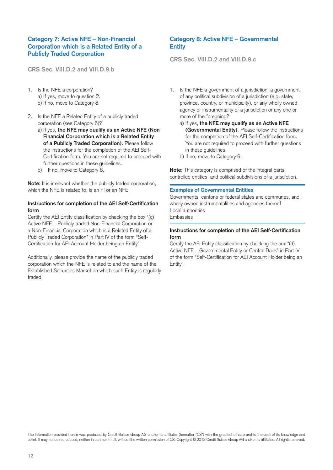# **Category 7: Active NFE – Non-Financial Corporation which is a Related Entity of a Publicly Traded Corporation**

**CRS Sec. VIII.D.2 and VIII.D.9.b**

- 1. Is the NFE a corporation? a) If yes, move to question 2. b) If no, move to Category 8.
- 2. Is the NFE a Related Entity of a publicly traded corporation (see Category 6)?
	- a) If yes, **the NFE may qualify as an Active NFE (Non-Financial Corporation which is a Related Entity of a Publicly Traded Corporation).** Please follow the instructions for the completion of the AEI Self-Certification form. You are not required to proceed with further questions in these guidelines.
	- b) If no, move to Category 8.

**Note:** It is irrelevant whether the publicly traded corporation, which the NFE is related to, is an FI or an NFE.

#### **Instructions for completion of the AEI Self-Certification form**

Certify the AEI Entity classification by checking the box "(c) Active NFE – Publicly traded Non-Financial Corporation or a Non-Financial Corporation which is a Related Entity of a Publicly Traded Corporation" in Part IV of the form "Self-Certification for AEI Account Holder being an Entity".

Additionally, please provide the name of the publicly traded corporation which the NFE is related to and the name of the Established Securities Market on which such Entity is regularly traded.

# **Category 8: Active NFE – Governmental Entity**

**CRS Sec. VIII.D.2 and VIII.D.9.c**

- 1. Is the NFE a government of a jurisdiction, a government of any political subdivision of a jurisdiction (e.g. state, province, country, or municipality), or any wholly owned agency or instrumentality of a jurisdiction or any one or more of the foregoing?
	- a) If yes, **the NFE may qualify as an Active NFE (Governmental Entity)**. Please follow the instructions for the completion of the AEI Self-Certification form. You are not required to proceed with further questions in these guidelines.
	- b) If no, move to Category 9.

**Note:** This category is comprised of the integral parts, controlled entities, and political subdivisions of a jurisdiction.

#### **Examples of Governmental Entities**

Governments, cantons or federal states and communes, and wholly owned instrumentalities and agencies thereof Local authorities Embassies

### **Instructions for completion of the AEI Self-Certification form**

Certify the AEI Entity classification by checking the box "(d) Active NFE – Governmental Entity or Central Bank" in Part IV of the form "Self-Certification for AEI Account Holder being an Entity".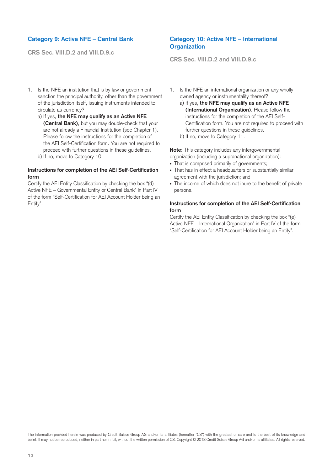# **Category 9: Active NFE – Central Bank**

**CRS Sec. VIII.D.2 and VIII.D.9.c**

- 1. Is the NFE an institution that is by law or government sanction the principal authority, other than the government of the jurisdiction itself, issuing instruments intended to circulate as currency?
	- a) If yes, **the NFE may qualify as an Active NFE (Central Bank)**, but you may double-check that your are not already a Financial Institution (see Chapter 1). Please follow the instructions for the completion of the AEI Self-Certification form. You are not required to proceed with further questions in these guidelines.
	- b) If no, move to Category 10.

#### **Instructions for completion of the AEI Self-Certification form**

Certify the AEI Entity Classification by checking the box "(d) Active NFE – Governmental Entity or Central Bank" in Part IV of the form "Self-Certification for AEI Account Holder being an Entity".

# **Category 10: Active NFE – International Organization**

**CRS Sec. VIII.D.2 and VIII.D.9.c**

- 1. Is the NFE an international organization or any wholly owned agency or instrumentality thereof?
	- a) If yes, **the NFE may qualify as an Active NFE (International Organization)**. Please follow the instructions for the completion of the AEI Self-Certification form. You are not required to proceed with further questions in these guidelines.

b) If no, move to Category 11.

**Note:** This category includes any intergovernmental organization (including a supranational organization):

- That is comprised primarily of governments;
- That has in effect a headquarters or substantially similar agreement with the jurisdiction; and
- The income of which does not inure to the benefit of private persons.

#### **Instructions for completion of the AEI Self-Certification form**

Certify the AEI Entity Classification by checking the box "(e) Active NFE – International Organization" in Part IV of the form "Self-Certification for AEI Account Holder being an Entity".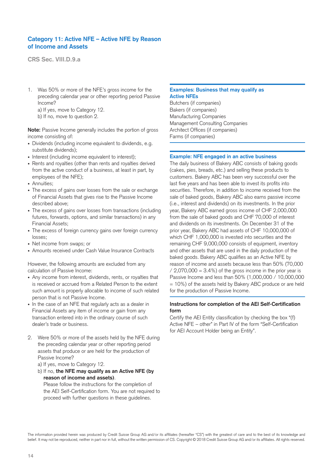# **Category 11: Active NFE – Active NFE by Reason of Income and Assets**

**CRS Sec. VIII.D.9.a**

- 1. Was 50% or more of the NFE's gross income for the preceding calendar year or other reporting period Passive Income? a) If yes, move to Category 12.
	- b) If no, move to question 2.

**Note:** Passive Income generally includes the portion of gross income consisting of:

- Dividends (including income equivalent to dividends, e.g. substitute dividends);
- Interest (including income equivalent to interest);
- Rents and royalties (other than rents and royalties derived from the active conduct of a business, at least in part, by employees of the NFE);
- Annuities;
- The excess of gains over losses from the sale or exchange of Financial Assets that gives rise to the Passive Income described above;
- The excess of gains over losses from transactions (including futures, forwards, options, and similar transactions) in any Financial Assets;
- The excess of foreign currency gains over foreign currency losses;
- Net income from swaps; or
- Amounts received under Cash Value Insurance Contracts

However, the following amounts are excluded from any calculation of Passive Income:

- Any income from interest, dividends, rents, or royalties that is received or accrued from a Related Person to the extent such amount is properly allocable to income of such related person that is not Passive Income.
- In the case of an NFE that regularly acts as a dealer in Financial Assets any item of income or gain from any transaction entered into in the ordinary course of such dealer's trade or business.
- 2. Were 50% or more of the assets held by the NFE during the preceding calendar year or other reporting period assets that produce or are held for the production of Passive Income?
	- a) If yes, move to Category 12.
	- b) If no, **the NFE may qualify as an Active NFE (by reason of income and assets)**.

Please follow the instructions for the completion of the AEI Self-Certification form. You are not required to proceed with further questions in these guidelines.

## **Examples: Business that may qualify as Active NFEs**

Butchers (if companies) Bakers (if companies) Manufacturing Companies Management Consulting Companies Architect Offices (if companies) Farms (if companies)

#### **Example: NFE engaged in an active business**

The daily business of Bakery ABC consists of baking goods (cakes, pies, breads, etc.) and selling these products to customers. Bakery ABC has been very successful over the last five years and has been able to invest its profits into securities. Therefore, in addition to income received from the sale of baked goods, Bakery ABC also earns passive income (i.e., interest and dividends) on its investments. In the prior year, Bakery ABC earned gross income of CHF 2,000,000 from the sale of baked goods and CHF 70,000 of interest and dividends on its investments. On December 31 of the prior year, Bakery ABC had assets of CHF 10,000,000 of which CHF 1,000,000 is invested into securities and the remaining CHF 9,000,000 consists of equipment, inventory and other assets that are used in the daily production of the baked goods. Bakery ABC qualifies as an Active NFE by reason of income and assets because less than 50% (70,000  $/ 2,070,000 = 3.4\%$  of the gross income in the prior year is Passive Income and less than 50% (1,000,000 / 10,000,000 = 10%) of the assets held by Bakery ABC produce or are held for the production of Passive Income.

#### **Instructions for completion of the AEI Self-Certification form**

Certify the AEI Entity classification by checking the box "(f) Active NFE – other" in Part IV of the form "Self-Certification for AEI Account Holder being an Entity".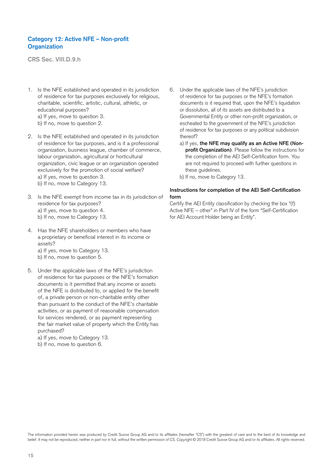# **Category 12: Active NFE – Non-profit Organization**

**CRS Sec. VIII.D.9.h**

- 1. Is the NFE established and operated in its jurisdiction of residence for tax purposes exclusively for religious, charitable, scientific, artistic, cultural, athletic, or educational purposes? a) If yes, move to question 3. b) If no, move to question 2.
- 2. Is the NFE established and operated in its jurisdiction of residence for tax purposes, and is it a professional organization, business league, chamber of commerce, labour organization, agricultural or horticultural organization, civic league or an organization operated exclusively for the promotion of social welfare? a) If yes, move to question 3. b) If no, move to Category 13.
- 3. Is the NFE exempt from income tax in its jurisdiction of residence for tax purposes? a) If yes, move to question 4. b) If no, move to Category 13.
- 4. Has the NFE shareholders or members who have a proprietary or beneficial interest in its income or assets? a) If yes, move to Category 13.
	- b) If no, move to question 5.
- 5. Under the applicable laws of the NFE's jurisdiction of residence for tax purposes or the NFE's formation documents is it permitted that any income or assets of the NFE is distributed to, or applied for the benefit of, a private person or non-charitable entity other than pursuant to the conduct of the NFE's charitable activities, or as payment of reasonable compensation for services rendered, or as payment representing the fair market value of property which the Entity has purchased?

a) If yes, move to Category 13. b) If no, move to question 6.

- 6. Under the applicable laws of the NFE's jurisdiction of residence for tax purposes or the NFE's formation documents is it required that, upon the NFE's liquidation or dissolution, all of its assets are distributed to a Governmental Entity or other non-profit organization, or escheated to the government of the NFE's jurisdiction of residence for tax purposes or any political subdivision thereof?
	- a) If yes, **the NFE may qualify as an Active NFE (Nonprofit Organization)**. Please follow the instructions for the completion of the AEI Self-Certification form. You are not required to proceed with further questions in these guidelines.
	- b) If no, move to Category 13.

### **Instructions for completion of the AEI Self-Certification form**

Certify the AEI Entity classification by checking the box "(f) Active NFE – other" in Part IV of the form "Self-Certification for AEI Account Holder being an Entity".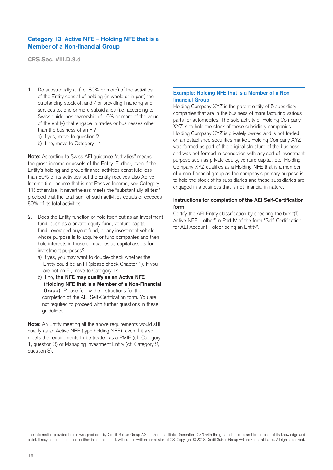# **Category 13: Active NFE – Holding NFE that is a Member of a Non-financial Group**

**CRS Sec. VIII.D.9.d**

- 1. Do substantially all (i.e. 80% or more) of the activities of the Entity consist of holding (in whole or in part) the outstanding stock of, and / or providing financing and services to, one or more subsidiaries (i.e. according to Swiss guidelines ownership of 10% or more of the value of the entity) that engage in trades or businesses other than the business of an FI?
	- a) If yes, move to question 2.
	- b) If no, move to Category 14.

**Note:** According to Swiss AEI guidance "activities" means the gross income or assets of the Entity. Further, even if the Entity's holding and group finance activities constitute less than 80% of its activities but the Entity receives also Active Income (i.e. income that is not Passive Income, see Category 11) otherwise, it nevertheless meets the "substantially all test" provided that the total sum of such activities equals or exceeds 80% of its total activities.

- 2. Does the Entity function or hold itself out as an investment fund, such as a private equity fund, venture capital fund, leveraged buyout fund, or any investment vehicle whose purpose is to acquire or fund companies and then hold interests in those companies as capital assets for investment purposes?
	- a) If yes, you may want to double-check whether the Entity could be an FI (please check Chapter 1). If you are not an FI, move to Category 14.
	- b) If no, **the NFE may qualify as an Active NFE (Holding NFE that is a Member of a Non-Financial Group)**. Please follow the instructions for the completion of the AEI Self-Certification form. You are not required to proceed with further questions in these guidelines.

**Note:** An Entity meeting all the above requirements would still qualify as an Active NFE (type holding NFE), even if it also meets the requirements to be treated as a PMIE (cf. Category 1, question 3) or Managing Investment Entity (cf. Category 2, question 3).

#### **Example: Holding NFE that is a Member of a Nonfinancial Group**

Holding Company XYZ is the parent entity of 5 subsidiary companies that are in the business of manufacturing various parts for automobiles. The sole activity of Holding Company XYZ is to hold the stock of these subsidiary companies. Holding Company XYZ is privately owned and is not traded on an established securities market. Holding Company XYZ was formed as part of the original structure of the business and was not formed in connection with any sort of investment purpose such as private equity, venture capital, etc. Holding Company XYZ qualifies as a Holding NFE that is a member of a non-financial group as the company's primary purpose is to hold the stock of its subsidiaries and these subsidiaries are engaged in a business that is not financial in nature.

#### **Instructions for completion of the AEI Self-Certification form**

Certify the AEI Entity classification by checking the box "(f) Active NFE – other" in Part IV of the form "Self-Certification for AEI Account Holder being an Entity".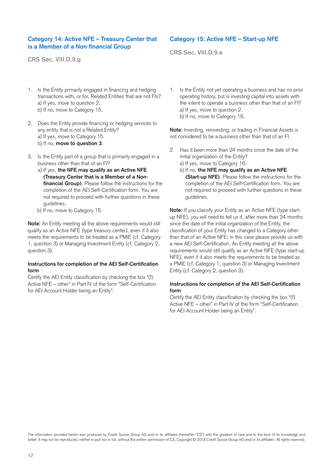# **Category 14: Active NFE – Treasury Center that is a Member of a Non-financial Group**

**CRS Sec. VIII.D.9.g**

- 1. Is the Entity primarily engaged in financing and hedging transactions with, or for, Related Entities that are not FIs? a) If yes, move to question 2. b) If no, move to Category 15.
- 2. Does the Entity provide financing or hedging services to any entity that is not a Related Entity? a) If yes, move to Category 15. b) If no, **move to question 3**.
- 3. Is the Entity part of a group that is primarily engaged in a business other than that of an FI?
	- a) If yes, **the NFE may qualify as an Active NFE (Treasury Center that is a Member of a Nonfinancial Group)**. Please follow the instructions for the completion of the AEI Self-Certification form. You are not required to proceed with further questions in these guidelines.
	- b) If no, move to Category 15.

**Note:** An Entity meeting all the above requirements would still qualify as an Active NFE (type treasury center), even if it also meets the requirements to be treated as a PMIE (cf. Category 1, question 3) or Managing Investment Entity (cf. Category 2, question 3).

#### **Instructions for completion of the AEI Self-Certification form**

Certify the AEI Entity classification by checking the box "(f) Active NFE – other" in Part IV of the form "Self-Certification for AEI Account Holder being an Entity".

# **Category 15: Active NFE – Start-up NFE**

**CRS Sec. VIII.D.9.e**

1. Is the Entity not yet operating a business and has no prior operating history, but is investing capital into assets with the intent to operate a business other than that of an FI? a) If yes, move to question 2. b) If no, move to Category 16.

**Note:** Investing, reinvesting, or trading in Financial Assets is not considered to be a business other than that of an FI.

2. Has it been more than 24 months since the date of the initial organization of the Entity?

a) If yes, move to Category 16.

b) If no, **the NFE may qualify as an Active NFE (Start-up NFE)**. Please follow the instructions for the completion of the AEI Self-Certification form. You are not required to proceed with further questions in these guidelines.

**Note:** If you classify your Entity as an Active NFE (type startup NFE), you will need to tell us if, after more than 24 months since the date of the initial organization of the Entity, the classification of your Entity has changed to a Category other than that of an Active NFE; in this case please provide us with a new AEI Self-Certification. An Entity meeting all the above requirements would still qualify as an Active NFE (type start-up NFE), even if it also meets the requirements to be treated as a PMIE (cf. Category 1, question 3) or Managing Investment Entity (cf. Category 2, question 3).

### **Instructions for completion of the AEI Self-Certification form**

Certify the AEI Entity classification by checking the box "(f) Active NFE – other" in Part IV of the form "Self-Certification for AEI Account Holder being an Entity".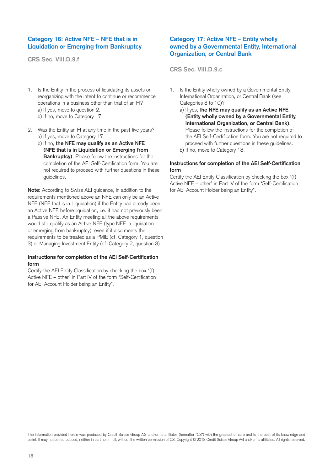# **Category 16: Active NFE – NFE that is in Liquidation or Emerging from Bankruptcy**

**CRS Sec. VIII.D.9.f**

- 1. Is the Entity in the process of liquidating its assets or reorganizing with the intent to continue or recommence operations in a business other than that of an FI? a) If yes, move to question 2. b) If no, move to Category 17.
- 2. Was the Entity an FI at any time in the past five years? a) If yes, move to Category 17.
	- b) If no, **the NFE may qualify as an Active NFE (NFE that is in Liquidation or Emerging from Bankruptcy)**. Please follow the instructions for the completion of the AEI Self-Certification form. You are not required to proceed with further questions in these guidelines.

**Note:** According to Swiss AEI guidance, in addition to the requirements mentioned above an NFE can only be an Active NFE (NFE that is in Liquidation) if the Entity had already been an Active NFE before liquidation, i.e. it had not previously been a Passive NFE. An Entity meeting all the above requirements would still qualify as an Active NFE (type NFE in liquidation or emerging from bankruptcy), even if it also meets the requirements to be treated as a PMIE (cf. Category 1, question 3) or Managing Investment Entity (cf. Category 2, question 3).

### **Instructions for completion of the AEI Self-Certification form**

Certify the AEI Entity Classification by checking the box "(f) Active NFE – other" in Part IV of the form "Self-Certification for AEI Account Holder being an Entity".

# **Category 17: Active NFE – Entity wholly owned by a Governmental Entity, International Organization, or Central Bank**

**CRS Sec. VIII.D.9.c**

- 1. Is the Entity wholly owned by a Governmental Entity, International Organization, or Central Bank (see Categories 8 to 10)?
	- a) If yes, t**he NFE may qualify as an Active NFE (Entity wholly owned by a Governmental Entity, International Organization, or Central Bank).** Please follow the instructions for the completion of the AEI Self-Certification form. You are not required to proceed with further questions in these guidelines.
	- b) If no, move to Category 18.

## **Instructions for completion of the AEI Self-Certification form**

Certify the AEI Entity Classification by checking the box "(f) Active NFE – other" in Part IV of the form "Self-Certification for AEI Account Holder being an Entity".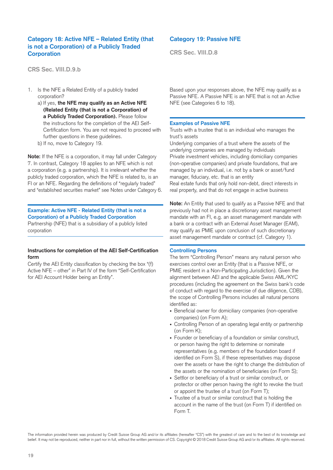# **Category 18: Active NFE – Related Entity (that is not a Corporation) of a Publicly Traded Corporation**

**CRS Sec. VIII.D.9.b**

- 1. Is the NFE a Related Entity of a publicly traded corporation?
	- a) If yes, **the NFE may qualify as an Active NFE (Related Entity (that is not a Corporation) of a Publicly Traded Corporation).** Please follow the instructions for the completion of the AEI Self-Certification form. You are not required to proceed with further questions in these guidelines.
	- b) If no, move to Category 19.

**Note:** If the NFE is a corporation, it may fall under Category 7. In contrast, Category 18 applies to an NFE which is not a corporation (e.g. a partnership). It is irrelevant whether the publicly traded corporation, which the NFE is related to, is an FI or an NFE. Regarding the definitions of "regularly traded" and "established securities market" see Notes under Category 6.

### **Example: Active NFE - Related Entity (that is not a Corporation) of a Publicly Traded Corporation**

Partnership (NFE) that is a subsidiary of a publicly listed corporation

#### **Instructions for completion of the AEI Self-Certification form**

Certify the AEI Entity classification by checking the box "(f) Active NFE – other" in Part IV of the form "Self-Certification for AEI Account Holder being an Entity".

# **Category 19: Passive NFE**

**CRS Sec. VIII.D.8**

Based upon your responses above, the NFE may qualify as a Passive NFE. A Passive NFE is an NFE that is not an Active NFE (see Categories 6 to 18).

#### **Examples of Passive NFE**

Trusts with a trustee that is an individual who manages the trust's assets

Underlying companies of a trust where the assets of the underlying companies are managed by individuals Private investment vehicles, including domiciliary companies (non-operative companies) and private foundations, that are managed by an individual, i.e. not by a bank or asset/fund manager, fiduciary, etc. that is an entity Real estate funds that only hold non-debt, direct interests in real property, and that do not engage in active business

**Note:** An Entity that used to qualify as a Passive NFE and that previously had not in place a discretionary asset management mandate with an FI, e.g. an asset management mandate with a bank or a contract with an External Asset Manager (EAM), may qualify as PMIE upon conclusion of such discretionary asset management mandate or contract (cf. Category 1).

#### **Controlling Persons**

The term "Controlling Person" means any natural person who exercises control over an Entity (that is a Passive NFE, or PMIE resident in a Non-Participating Jurisdiction). Given the alignment between AEI and the applicable Swiss AML/KYC procedures (including the agreement on the Swiss bank's code of conduct with regard to the exercise of due diligence, CDB), the scope of Controlling Persons includes all natural persons identified as:

- Beneficial owner for domiciliary companies (non-operative companies) (on Form A);
- Controlling Person of an operating legal entity or partnership (on Form K);
- Founder or beneficiary of a foundation or similar construct, or person having the right to determine or nominate representatives (e.g. members of the foundation board if identified on Form S), if these representatives may dispose over the assets or have the right to change the distribution of the assets or the nomination of beneficiaries (on Form S);
- Settlor or beneficiary of a trust or similar construct, or protector or other person having the right to revoke the trust or appoint the trustee of a trust (on Form T);
- Trustee of a trust or similar construct that is holding the account in the name of the trust (on Form T) if identified on Form T.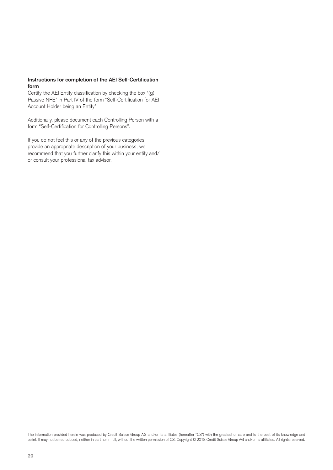#### **Instructions for completion of the AEI Self-Certification form**

Certify the AEI Entity classification by checking the box "(g) Passive NFE" in Part IV of the form "Self-Certification for AEI Account Holder being an Entity".

Additionally, please document each Controlling Person with a form "Self-Certification for Controlling Persons".

If you do not feel this or any of the previous categories provide an appropriate description of your business, we recommend that you further clarify this within your entity and/ or consult your professional tax advisor.